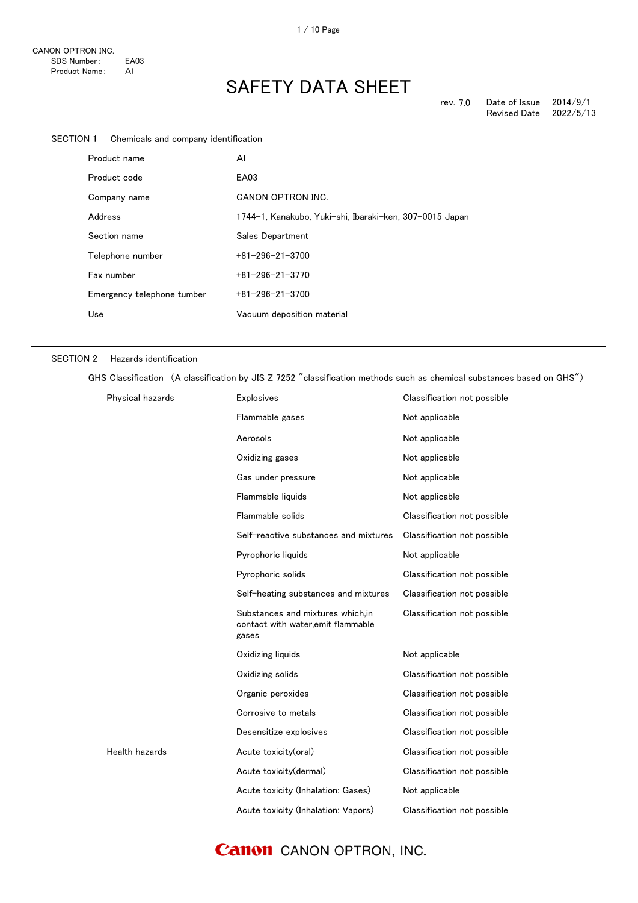| SECTION 1 | Chemicals and company identification |                                                         |
|-----------|--------------------------------------|---------------------------------------------------------|
|           | Product name                         | AI                                                      |
|           | Product code                         | EA03                                                    |
|           | Company name                         | <b>CANON OPTRON INC.</b>                                |
|           | Address                              | 1744-1, Kanakubo, Yuki-shi, Ibaraki-ken, 307-0015 Japan |
|           | Section name                         | Sales Department                                        |
|           | Telephone number                     | $+81 - 296 - 21 - 3700$                                 |
|           | Fax number                           | $+81 - 296 - 21 - 3770$                                 |
|           | Emergency telephone tumber           | $+81 - 296 - 21 - 3700$                                 |
|           | Use                                  | Vacuum deposition material                              |
|           |                                      |                                                         |

#### SECTION 2 Hazards identification

GHS Classification (A classification by JIS Z 7252 "classification methods such as chemical substances based on GHS")

| Physical hazards | <b>Explosives</b>                                                               | Classification not possible |
|------------------|---------------------------------------------------------------------------------|-----------------------------|
|                  | Flammable gases                                                                 | Not applicable              |
|                  | Aerosols                                                                        | Not applicable              |
|                  | Oxidizing gases                                                                 | Not applicable              |
|                  | Gas under pressure                                                              | Not applicable              |
|                  | Flammable liquids                                                               | Not applicable              |
|                  | Flammable solids                                                                | Classification not possible |
|                  | Self-reactive substances and mixtures                                           | Classification not possible |
|                  | Pyrophoric liquids                                                              | Not applicable              |
|                  | Pyrophoric solids                                                               | Classification not possible |
|                  | Self-heating substances and mixtures                                            | Classification not possible |
|                  | Substances and mixtures which.in<br>contact with water, emit flammable<br>gases | Classification not possible |
|                  | Oxidizing liquids                                                               | Not applicable              |
|                  | Oxidizing solids                                                                | Classification not possible |
|                  | Organic peroxides                                                               | Classification not possible |
|                  | Corrosive to metals                                                             | Classification not possible |
|                  | Desensitize explosives                                                          | Classification not possible |
| Health hazards   | Acute toxicity(oral)                                                            | Classification not possible |
|                  | Acute toxicity (dermal)                                                         | Classification not possible |
|                  | Acute toxicity (Inhalation: Gases)                                              | Not applicable              |
|                  | Acute toxicity (Inhalation: Vapors)                                             | Classification not possible |

### **Canon** CANON OPTRON, INC.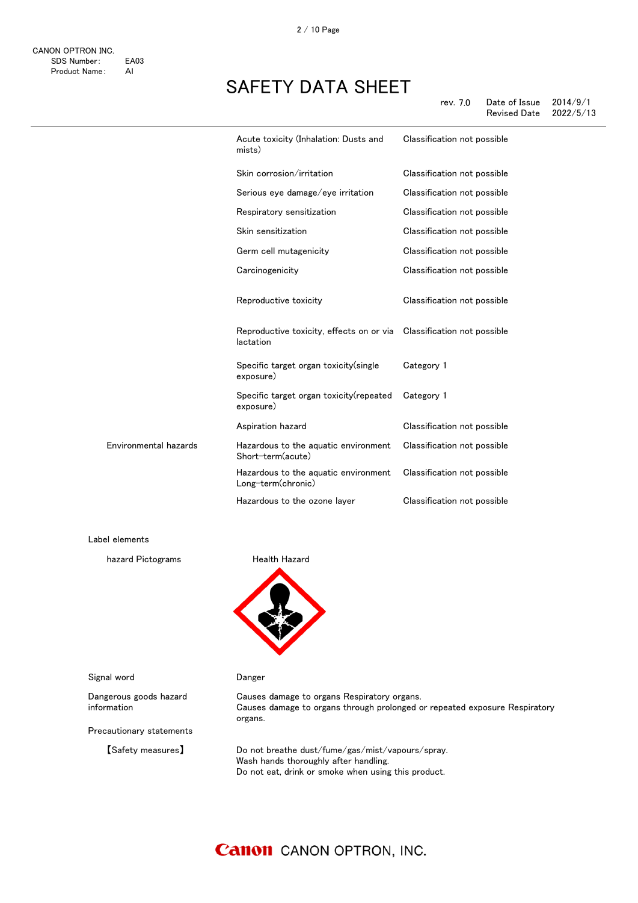|                       | Acute toxicity (Inhalation: Dusts and<br>mists)                                   | Classification not possible |
|-----------------------|-----------------------------------------------------------------------------------|-----------------------------|
|                       | Skin corrosion/irritation                                                         | Classification not possible |
|                       | Serious eye damage/eye irritation                                                 | Classification not possible |
|                       | Respiratory sensitization                                                         | Classification not possible |
|                       | Skin sensitization                                                                | Classification not possible |
|                       | Germ cell mutagenicity                                                            | Classification not possible |
|                       | Carcinogenicity                                                                   | Classification not possible |
|                       | Reproductive toxicity                                                             | Classification not possible |
|                       | Reproductive toxicity, effects on or via Classification not possible<br>lactation |                             |
|                       | Specific target organ toxicity (single<br>exposure)                               | Category 1                  |
|                       | Specific target organ toxicity (repeated<br>exposure)                             | Category 1                  |
|                       | Aspiration hazard                                                                 | Classification not possible |
| Environmental hazards | Hazardous to the aquatic environment<br>Short-term(acute)                         | Classification not possible |
|                       | Hazardous to the aquatic environment<br>Long-term(chronic)                        | Classification not possible |
|                       | Hazardous to the ozone layer                                                      | Classification not possible |

Label elements

hazard Pictograms **Health Hazard** 



organs.

Signal word **Danger** 

Dangerous goods hazard information

Precautionary statements

【Safety measures】 Do not breathe dust/fume/gas/mist/vapours/spray. Wash hands thoroughly after handling. Do not eat, drink or smoke when using this product.

Causes damage to organs through prolonged or repeated exposure Respiratory

Causes damage to organs Respiratory organs.

### **Canon** CANON OPTRON, INC.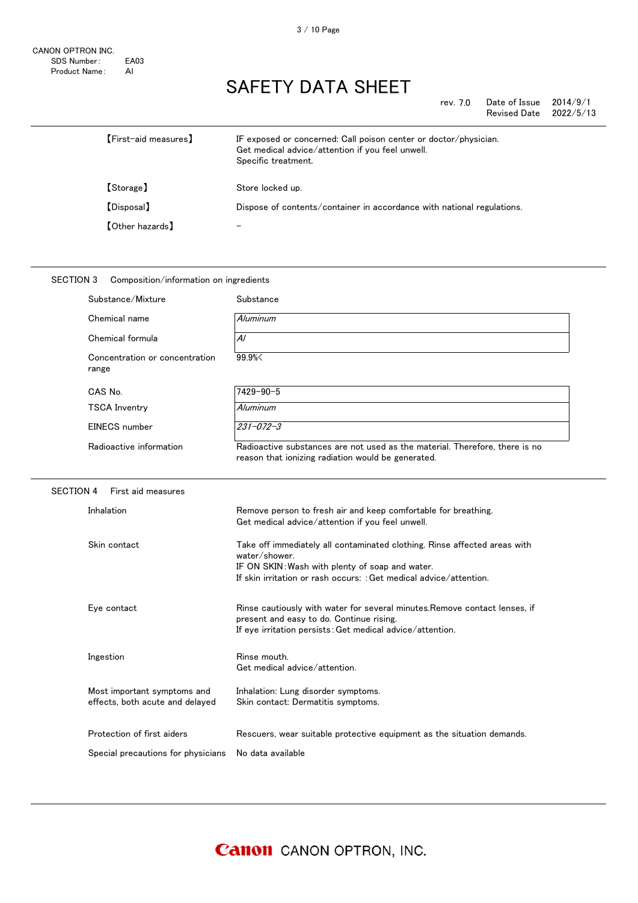| rev. 7.0 | Date of Issue | 2014/9/1  |
|----------|---------------|-----------|
|          | Revised Date  | 2022/5/13 |

| [First-aid measures]   | IF exposed or concerned: Call poison center or doctor/physician.<br>Get medical advice/attention if you feel unwell.<br>Specific treatment. |
|------------------------|---------------------------------------------------------------------------------------------------------------------------------------------|
| [Storage]              | Store locked up.                                                                                                                            |
| [Disposal]             | Dispose of contents/container in accordance with national regulations.                                                                      |
| <b>[Other hazards]</b> | $\overline{\phantom{m}}$                                                                                                                    |

#### SECTION 3 Composition/information on ingredients Substance/Mixture Substance Chemical name Aluminum Chemical formula  $\overline{A}$ Concentration or concentration range 99.9%< CAS No. 7429-90-5 TSCA Inventry Aluminum EINECS number 231-072-3 Radioactive information Radioactive substances are not used as the material. Therefore, there is no reason that ionizing radiation would be generated. SECTION 4 First aid measures Inhalation Remove person to fresh air and keep comfortable for breathing. Get medical advice/attention if you feel unwell. Skin contact Take off immediately all contaminated clothing. Rinse affected areas with water/shower. IF ON SKIN:Wash with plenty of soap and water. If skin irritation or rash occurs: :Get medical advice/attention. Eye contact **Ringe Contact Ringe Contact Rinse cautiously with water for several minutes.Remove contact lenses, if** present and easy to do. Continue rising. If eye irritation persists:Get medical advice/attention. Ingestion **Rinse mouth.** Get medical advice/attention. Most important symptoms and effects, both acute and delayed Inhalation: Lung disorder symptoms. Skin contact: Dermatitis symptoms. Protection of first aiders **Rescuers**, wear suitable protective equipment as the situation demands. Special precautions for physicians No data available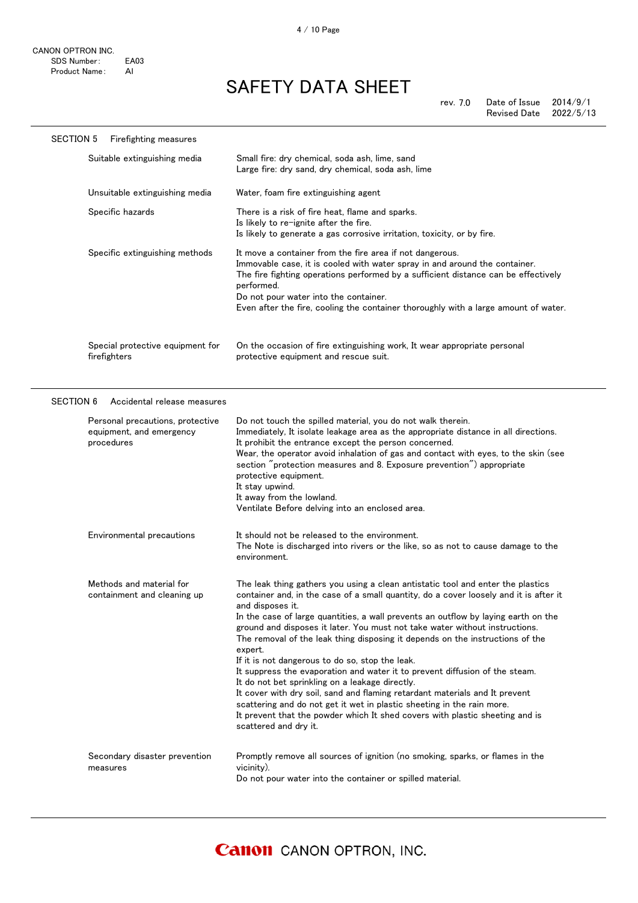| <b>SECTION 5</b><br>Firefighting measures                                  |                                                                                                                                                                                                                                                                                                                                                                                                                                                                                                                                                                                                                                                                                                                                                                                                                                                                                                                      |
|----------------------------------------------------------------------------|----------------------------------------------------------------------------------------------------------------------------------------------------------------------------------------------------------------------------------------------------------------------------------------------------------------------------------------------------------------------------------------------------------------------------------------------------------------------------------------------------------------------------------------------------------------------------------------------------------------------------------------------------------------------------------------------------------------------------------------------------------------------------------------------------------------------------------------------------------------------------------------------------------------------|
| Suitable extinguishing media                                               | Small fire: dry chemical, soda ash, lime, sand<br>Large fire: dry sand, dry chemical, soda ash, lime                                                                                                                                                                                                                                                                                                                                                                                                                                                                                                                                                                                                                                                                                                                                                                                                                 |
| Unsuitable extinguishing media                                             | Water, foam fire extinguishing agent                                                                                                                                                                                                                                                                                                                                                                                                                                                                                                                                                                                                                                                                                                                                                                                                                                                                                 |
| Specific hazards                                                           | There is a risk of fire heat, flame and sparks.<br>Is likely to re-ignite after the fire.<br>Is likely to generate a gas corrosive irritation, toxicity, or by fire.                                                                                                                                                                                                                                                                                                                                                                                                                                                                                                                                                                                                                                                                                                                                                 |
| Specific extinguishing methods                                             | It move a container from the fire area if not dangerous.<br>Immovable case, it is cooled with water spray in and around the container.<br>The fire fighting operations performed by a sufficient distance can be effectively<br>performed.<br>Do not pour water into the container.<br>Even after the fire, cooling the container thoroughly with a large amount of water.                                                                                                                                                                                                                                                                                                                                                                                                                                                                                                                                           |
| Special protective equipment for<br>firefighters                           | On the occasion of fire extinguishing work, It wear appropriate personal<br>protective equipment and rescue suit.                                                                                                                                                                                                                                                                                                                                                                                                                                                                                                                                                                                                                                                                                                                                                                                                    |
| <b>SECTION 6</b><br>Accidental release measures                            |                                                                                                                                                                                                                                                                                                                                                                                                                                                                                                                                                                                                                                                                                                                                                                                                                                                                                                                      |
| Personal precautions, protective<br>equipment, and emergency<br>procedures | Do not touch the spilled material, you do not walk therein.<br>Immediately, It isolate leakage area as the appropriate distance in all directions.<br>It prohibit the entrance except the person concerned.<br>Wear, the operator avoid inhalation of gas and contact with eyes, to the skin (see<br>section "protection measures and 8. Exposure prevention") appropriate<br>protective equipment.<br>It stay upwind.<br>It away from the lowland.<br>Ventilate Before delving into an enclosed area.                                                                                                                                                                                                                                                                                                                                                                                                               |
| Environmental precautions                                                  | It should not be released to the environment.<br>The Note is discharged into rivers or the like, so as not to cause damage to the<br>environment.                                                                                                                                                                                                                                                                                                                                                                                                                                                                                                                                                                                                                                                                                                                                                                    |
| Methods and material for<br>containment and cleaning up                    | The leak thing gathers you using a clean antistatic tool and enter the plastics<br>container and, in the case of a small quantity, do a cover loosely and it is after it<br>and disposes it.<br>In the case of large quantities, a wall prevents an outflow by laying earth on the<br>ground and disposes it later. You must not take water without instructions.<br>The removal of the leak thing disposing it depends on the instructions of the<br>expert.<br>If it is not dangerous to do so, stop the leak.<br>It suppress the evaporation and water it to prevent diffusion of the steam.<br>It do not bet sprinkling on a leakage directly.<br>It cover with dry soil, sand and flaming retardant materials and It prevent<br>scattering and do not get it wet in plastic sheeting in the rain more.<br>It prevent that the powder which It shed covers with plastic sheeting and is<br>scattered and dry it. |
| Secondary disaster prevention<br>measures                                  | Promptly remove all sources of ignition (no smoking, sparks, or flames in the<br>vicinity).<br>Do not pour water into the container or spilled material.                                                                                                                                                                                                                                                                                                                                                                                                                                                                                                                                                                                                                                                                                                                                                             |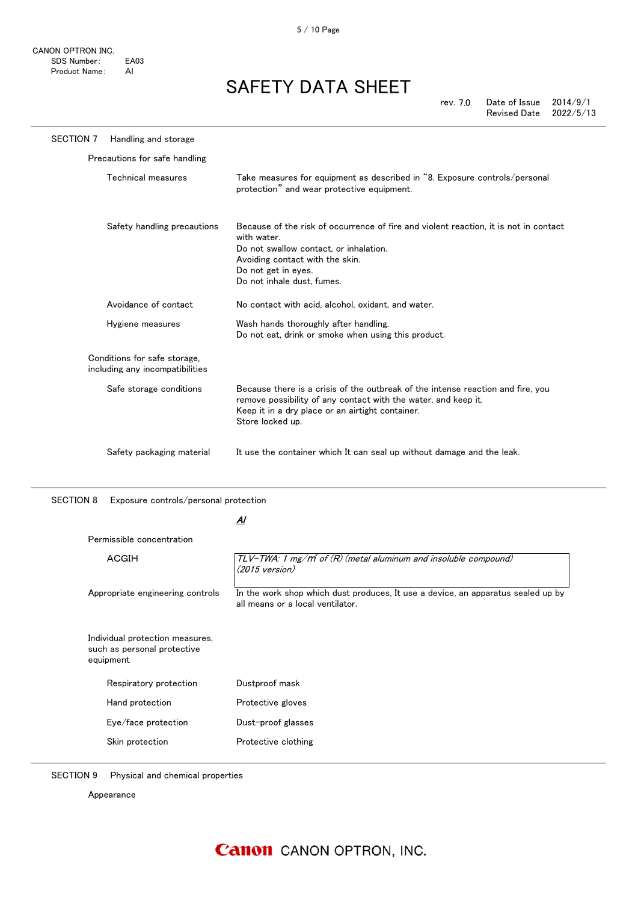| <b>SECTION 7</b> | Handling and storage                                            |                                                                                                                                                                                                                                       |
|------------------|-----------------------------------------------------------------|---------------------------------------------------------------------------------------------------------------------------------------------------------------------------------------------------------------------------------------|
|                  | Precautions for safe handling                                   |                                                                                                                                                                                                                                       |
|                  | Technical measures                                              | Take measures for equipment as described in "8. Exposure controls/personal<br>protection" and wear protective equipment.                                                                                                              |
|                  | Safety handling precautions                                     | Because of the risk of occurrence of fire and violent reaction, it is not in contact<br>with water.<br>Do not swallow contact, or inhalation.<br>Avoiding contact with the skin.<br>Do not get in eyes.<br>Do not inhale dust, fumes. |
|                  | Avoidance of contact                                            | No contact with acid, alcohol, oxidant, and water.                                                                                                                                                                                    |
|                  | Hygiene measures                                                | Wash hands thoroughly after handling.<br>Do not eat, drink or smoke when using this product.                                                                                                                                          |
|                  | Conditions for safe storage,<br>including any incompatibilities |                                                                                                                                                                                                                                       |
|                  | Safe storage conditions                                         | Because there is a crisis of the outbreak of the intense reaction and fire, you<br>remove possibility of any contact with the water, and keep it.<br>Keep it in a dry place or an airtight container.<br>Store locked up.             |
|                  | Safety packaging material                                       | It use the container which It can seal up without damage and the leak.                                                                                                                                                                |

SECTION 8 Exposure controls/personal protection

<u>Al</u>

| ACGIH                                                                                                 | TLV-TWA: 1 mg/m <sup>3</sup> of $(R)$ (metal aluminum and insoluble compound)<br>$(2015 \text{ version})$            |
|-------------------------------------------------------------------------------------------------------|----------------------------------------------------------------------------------------------------------------------|
| Appropriate engineering controls                                                                      | In the work shop which dust produces, It use a device, an apparatus sealed up by<br>all means or a local ventilator. |
|                                                                                                       |                                                                                                                      |
|                                                                                                       |                                                                                                                      |
| Individual protection measures,<br>such as personal protective<br>equipment<br>Respiratory protection | Dustproof mask                                                                                                       |
| Hand protection                                                                                       | Protective gloves                                                                                                    |
| Eye/face protection                                                                                   | Dust-proof glasses                                                                                                   |

SECTION 9 Physical and chemical properties

Appearance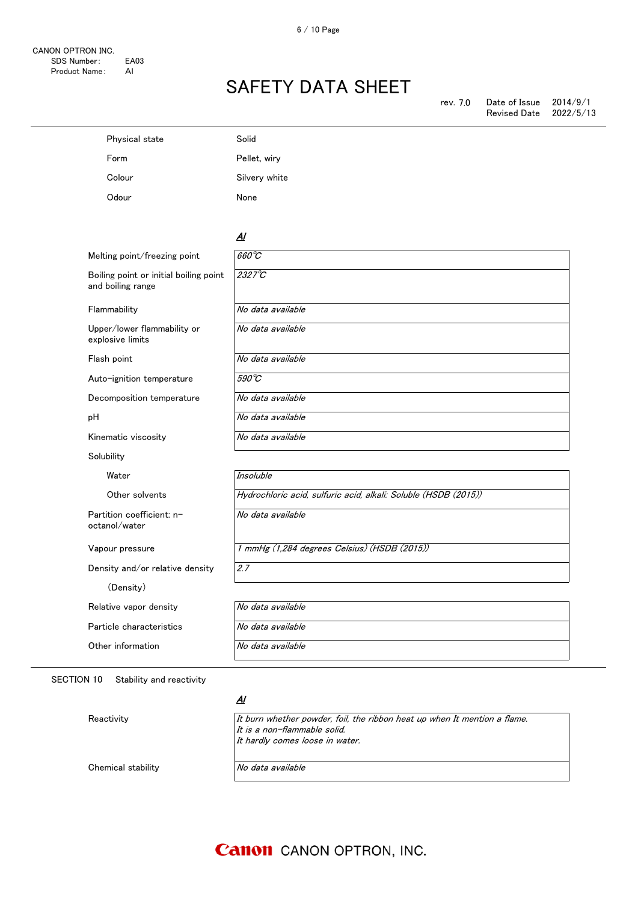| Physical state                                              | Solid                                                           |
|-------------------------------------------------------------|-----------------------------------------------------------------|
| Form                                                        | Pellet, wiry                                                    |
| Colour                                                      | Silvery white                                                   |
| Odour                                                       | None                                                            |
|                                                             |                                                                 |
|                                                             | $\overline{A}$                                                  |
| Melting point/freezing point                                | $660^{\circ}C$                                                  |
| Boiling point or initial boiling point<br>and boiling range | $2327^\circ C$                                                  |
| Flammability                                                | No data available                                               |
| Upper/lower flammability or<br>explosive limits             | No data available                                               |
| Flash point                                                 | No data available                                               |
| Auto-ignition temperature                                   | $590^{\circ}$ C                                                 |
| Decomposition temperature                                   | No data available                                               |
| рH                                                          | No data available                                               |
| Kinematic viscosity                                         | No data available                                               |
| Solubility                                                  |                                                                 |
| Water                                                       | Insoluble                                                       |
| Other solvents                                              | Hydrochloric acid, sulfuric acid, alkali: Soluble (HSDB (2015)) |
| Partition coefficient: n-<br>octanol/water                  | No data available                                               |
| Vapour pressure                                             | 1 mmHg (1,284 degrees Celsius) (HSDB (2015))                    |
| Density and/or relative density                             | 2.7                                                             |
| (Density)                                                   |                                                                 |
| Relative vapor density                                      | No data available                                               |
| Particle characteristics                                    | No data available                                               |
| Other information                                           | No data available                                               |
|                                                             |                                                                 |

SECTION 10 Stability and reactivity

#### <u>Al</u>

Reactivity **It burn whether powder, foil, the ribbon heat up when It mention a flame.** It is a non-flammable solid. It hardly comes loose in water. Chemical stability No data available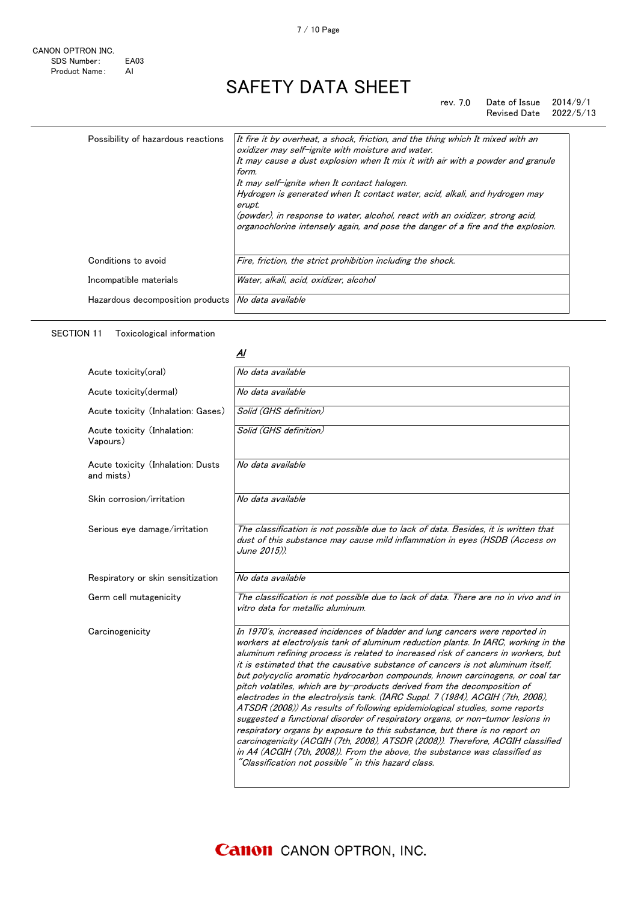#### rev. 7.0 Date of Issue 2014/9/1<br>Revised Date 2022/5/13 Revised Date

| Possibility of hazardous reactions                   | It fire it by overheat, a shock, friction, and the thing which It mixed with an<br>oxidizer may self-ignite with moisture and water.<br>It may cause a dust explosion when It mix it with air with a powder and granule<br>form.<br>It may self-ignite when It contact halogen.<br>Hydrogen is generated when It contact water, acid, alkali, and hydrogen may<br>erupt.<br>(powder), in response to water, alcohol, react with an oxidizer, strong acid,<br>organochlorine intensely again, and pose the danger of a fire and the explosion. |
|------------------------------------------------------|-----------------------------------------------------------------------------------------------------------------------------------------------------------------------------------------------------------------------------------------------------------------------------------------------------------------------------------------------------------------------------------------------------------------------------------------------------------------------------------------------------------------------------------------------|
| Conditions to avoid                                  | Fire, friction, the strict prohibition including the shock.                                                                                                                                                                                                                                                                                                                                                                                                                                                                                   |
| Incompatible materials                               | Water, alkali, acid, oxidizer, alcohol                                                                                                                                                                                                                                                                                                                                                                                                                                                                                                        |
| Hazardous decomposition products   No data available |                                                                                                                                                                                                                                                                                                                                                                                                                                                                                                                                               |

SECTION 11 Toxicological information

#### <u>Al</u>

| Acute toxicity(oral)                            | No data available                                                                                                                                                                                                                                                                                                                                                                                                                                                                                                                                                                                                                                                                                                                                                                                                                                                                                                                                                                                                                                                |
|-------------------------------------------------|------------------------------------------------------------------------------------------------------------------------------------------------------------------------------------------------------------------------------------------------------------------------------------------------------------------------------------------------------------------------------------------------------------------------------------------------------------------------------------------------------------------------------------------------------------------------------------------------------------------------------------------------------------------------------------------------------------------------------------------------------------------------------------------------------------------------------------------------------------------------------------------------------------------------------------------------------------------------------------------------------------------------------------------------------------------|
| Acute toxicity (dermal)                         | No data available                                                                                                                                                                                                                                                                                                                                                                                                                                                                                                                                                                                                                                                                                                                                                                                                                                                                                                                                                                                                                                                |
| Acute toxicity (Inhalation: Gases)              | Solid (GHS definition)                                                                                                                                                                                                                                                                                                                                                                                                                                                                                                                                                                                                                                                                                                                                                                                                                                                                                                                                                                                                                                           |
| Acute toxicity (Inhalation:<br>Vapours)         | Solid (GHS definition)                                                                                                                                                                                                                                                                                                                                                                                                                                                                                                                                                                                                                                                                                                                                                                                                                                                                                                                                                                                                                                           |
| Acute toxicity (Inhalation: Dusts<br>and mists) | No data available                                                                                                                                                                                                                                                                                                                                                                                                                                                                                                                                                                                                                                                                                                                                                                                                                                                                                                                                                                                                                                                |
| Skin corrosion/irritation                       | No data available                                                                                                                                                                                                                                                                                                                                                                                                                                                                                                                                                                                                                                                                                                                                                                                                                                                                                                                                                                                                                                                |
| Serious eye damage/irritation                   | The classification is not possible due to lack of data. Besides, it is written that<br>dust of this substance may cause mild inflammation in eyes (HSDB (Access on<br>June 2015)).                                                                                                                                                                                                                                                                                                                                                                                                                                                                                                                                                                                                                                                                                                                                                                                                                                                                               |
| Respiratory or skin sensitization               | No data available                                                                                                                                                                                                                                                                                                                                                                                                                                                                                                                                                                                                                                                                                                                                                                                                                                                                                                                                                                                                                                                |
| Germ cell mutagenicity                          | The classification is not possible due to lack of data. There are no in vivo and in<br>vitro data for metallic aluminum.                                                                                                                                                                                                                                                                                                                                                                                                                                                                                                                                                                                                                                                                                                                                                                                                                                                                                                                                         |
| Carcinogenicity                                 | In 1970's, increased incidences of bladder and lung cancers were reported in<br>workers at electrolysis tank of aluminum reduction plants. In IARC, working in the<br>aluminum refining process is related to increased risk of cancers in workers, but<br>it is estimated that the causative substance of cancers is not aluminum itself.<br>but polycyclic aromatic hydrocarbon compounds, known carcinogens, or coal tar<br>pitch volatiles, which are by-products derived from the decomposition of<br>electrodes in the electrolysis tank. (IARC Suppl. 7 (1984), ACGIH (7th, 2008),<br>ATSDR (2008)) As results of following epidemiological studies, some reports<br>suggested a functional disorder of respiratory organs, or non-tumor lesions in<br>respiratory organs by exposure to this substance, but there is no report on<br>carcinogenicity (ACGIH (7th, 2008), ATSDR (2008)). Therefore, ACGIH classified<br>in A4 (ACGIH (7th, 2008)). From the above, the substance was classified as<br>"Classification not possible" in this hazard class. |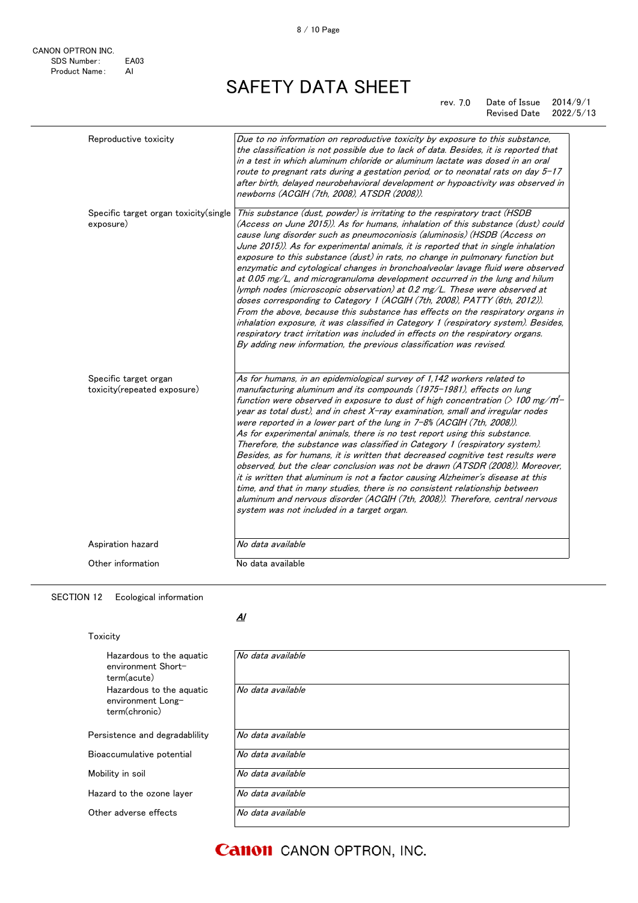| Reproductive toxicity                                | Due to no information on reproductive toxicity by exposure to this substance,<br>the classification is not possible due to lack of data. Besides, it is reported that<br>in a test in which aluminum chloride or aluminum lactate was dosed in an oral<br>route to pregnant rats during a gestation period, or to neonatal rats on day $5-17$<br>after birth, delayed neurobehavioral development or hypoactivity was observed in<br>newborns (ACGIH (7th, 2008), ATSDR (2008)).                                                                                                                                                                                                                                                                                                                                                                                                                                                                                                                                                                                                   |
|------------------------------------------------------|------------------------------------------------------------------------------------------------------------------------------------------------------------------------------------------------------------------------------------------------------------------------------------------------------------------------------------------------------------------------------------------------------------------------------------------------------------------------------------------------------------------------------------------------------------------------------------------------------------------------------------------------------------------------------------------------------------------------------------------------------------------------------------------------------------------------------------------------------------------------------------------------------------------------------------------------------------------------------------------------------------------------------------------------------------------------------------|
| Specific target organ toxicity (single<br>exposure)  | This substance (dust, powder) is irritating to the respiratory tract (HSDB<br>(Access on June 2015)). As for humans, inhalation of this substance (dust) could<br>cause lung disorder such as pneumoconiosis (aluminosis) (HSDB (Access on<br>June 2015)). As for experimental animals, it is reported that in single inhalation<br>exposure to this substance (dust) in rats, no change in pulmonary function but<br>enzymatic and cytological changes in bronchoalveolar lavage fluid were observed<br>at 0.05 mg/L, and microgranuloma development occurred in the lung and hilum<br>lymph nodes (microscopic observation) at 0.2 mg/L. These were observed at<br>doses corresponding to Category 1 (ACGIH (7th, 2008), PATTY (6th, 2012)).<br>From the above, because this substance has effects on the respiratory organs in<br>inhalation exposure, it was classified in Category 1 (respiratory system). Besides,<br>respiratory tract irritation was included in effects on the respiratory organs.<br>By adding new information, the previous classification was revised. |
| Specific target organ<br>toxicity(repeated exposure) | As for humans, in an epidemiological survey of 1,142 workers related to<br>manufacturing aluminum and its compounds (1975-1981), effects on lung<br>function were observed in exposure to dust of high concentration $($ 100 mg/m <sup>2</sup> -<br>year as total dust), and in chest $X$ -ray examination, small and irregular nodes<br>were reported in a lower part of the lung in $7-8%$ (ACGIH (7th, 2008)).<br>As for experimental animals, there is no test report using this substance.<br>Therefore, the substance was classified in Category 1 (respiratory system).<br>Besides, as for humans, it is written that decreased cognitive test results were<br>observed, but the clear conclusion was not be drawn (ATSDR (2008)). Moreover,<br>it is written that aluminum is not a factor causing Alzheimer's disease at this<br>time, and that in many studies, there is no consistent relationship between<br>aluminum and nervous disorder (ACGIH (7th, 2008)). Therefore, central nervous<br>system was not included in a target organ.                               |
| Aspiration hazard                                    | No data available                                                                                                                                                                                                                                                                                                                                                                                                                                                                                                                                                                                                                                                                                                                                                                                                                                                                                                                                                                                                                                                                  |
| Other information                                    | No data available                                                                                                                                                                                                                                                                                                                                                                                                                                                                                                                                                                                                                                                                                                                                                                                                                                                                                                                                                                                                                                                                  |

#### SECTION 12 Ecological information

#### Toxicity

| Hazardous to the aguatic<br>environment Short-<br>term(acute)  | No data available |
|----------------------------------------------------------------|-------------------|
| Hazardous to the aguatic<br>environment Long-<br>term(chronic) | No data available |
| Persistence and degradability                                  | No data available |
| Bioaccumulative potential                                      | No data available |
| Mobility in soil                                               | No data available |
| Hazard to the ozone layer                                      | No data available |
| Other adverse effects                                          | No data available |

<u>Al</u>

**Canon** CANON OPTRON, INC.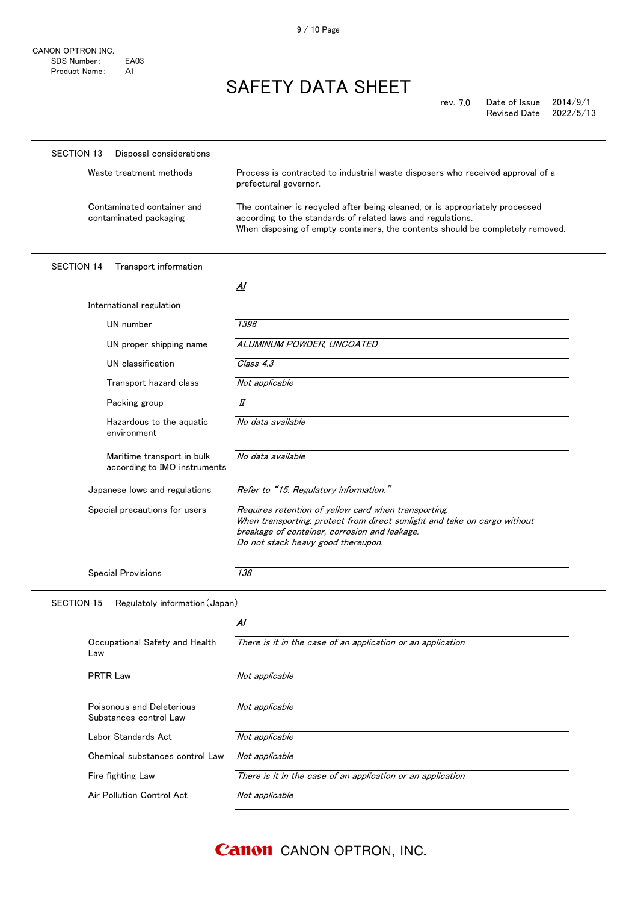| Disposal considerations<br>SECTION 13                |                                                                                                                                                                                                                               |
|------------------------------------------------------|-------------------------------------------------------------------------------------------------------------------------------------------------------------------------------------------------------------------------------|
| Waste treatment methods                              | Process is contracted to industrial waste disposers who received approval of a<br>prefectural governor.                                                                                                                       |
| Contaminated container and<br>contaminated packaging | The container is recycled after being cleaned, or is appropriately processed<br>according to the standards of related laws and regulations.<br>When disposing of empty containers, the contents should be completely removed. |

SECTION 14 Transport information

| UN number                                                  | 1396                                                                                                                                                                                                                     |
|------------------------------------------------------------|--------------------------------------------------------------------------------------------------------------------------------------------------------------------------------------------------------------------------|
| UN proper shipping name                                    | ALUMINUM POWDER, UNCOATED                                                                                                                                                                                                |
| UN classification                                          | Class 4.3                                                                                                                                                                                                                |
| Transport hazard class                                     | Not applicable                                                                                                                                                                                                           |
| Packing group                                              | $I\!\!I$                                                                                                                                                                                                                 |
| Hazardous to the aquatic<br>environment                    | No data available                                                                                                                                                                                                        |
| Maritime transport in bulk<br>according to IMO instruments | No data available                                                                                                                                                                                                        |
| Japanese lows and regulations                              | Refer to "15. Regulatory information."                                                                                                                                                                                   |
| Special precautions for users                              | Requires retention of yellow card when transporting.<br>When transporting, protect from direct sunlight and take on cargo without<br>breakage of container, corrosion and leakage.<br>Do not stack heavy good thereupon. |
| <b>Special Provisions</b>                                  | 138                                                                                                                                                                                                                      |

SECTION 15 Regulatoly information(Japan)

#### Al

| Occupational Safety and Health<br>Law               | There is it in the case of an application or an application |
|-----------------------------------------------------|-------------------------------------------------------------|
| <b>PRTR Law</b>                                     | Not applicable                                              |
| Poisonous and Deleterious<br>Substances control Law | Not applicable                                              |
| Labor Standards Act                                 | Not applicable                                              |
| Chemical substances control Law                     | Not applicable                                              |
| Fire fighting Law                                   | There is it in the case of an application or an application |
| Air Pollution Control Act                           | Not applicable                                              |